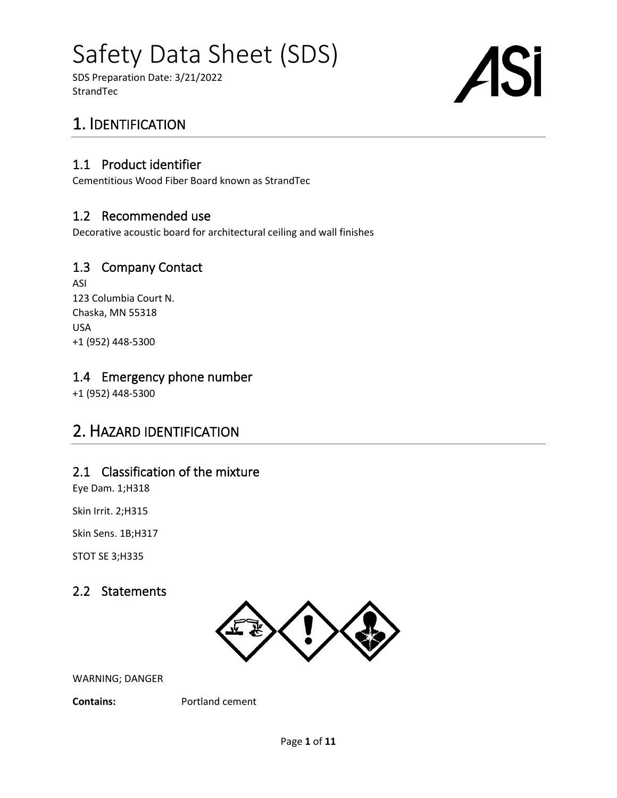SDS Preparation Date: 3/21/2022 **StrandTec** 

# Si

# 1. IDENTIFICATION

#### 1.1 Product identifier

Cementitious Wood Fiber Board known as StrandTec

#### 1.2 Recommended use

Decorative acoustic board for architectural ceiling and wall finishes

#### 1.3 Company Contact

ASI 123 Columbia Court N. Chaska, MN 55318 USA +1 (952) 448-5300

#### 1.4 Emergency phone number

+1 (952) 448-5300

## 2. HAZARD IDENTIFICATION

#### 2.1 Classification of the mixture

Eye Dam. 1;H318

Skin Irrit. 2;H315

Skin Sens. 1B;H317

STOT SE 3;H335

#### 2.2 Statements



WARNING; DANGER

**Contains:** Portland cement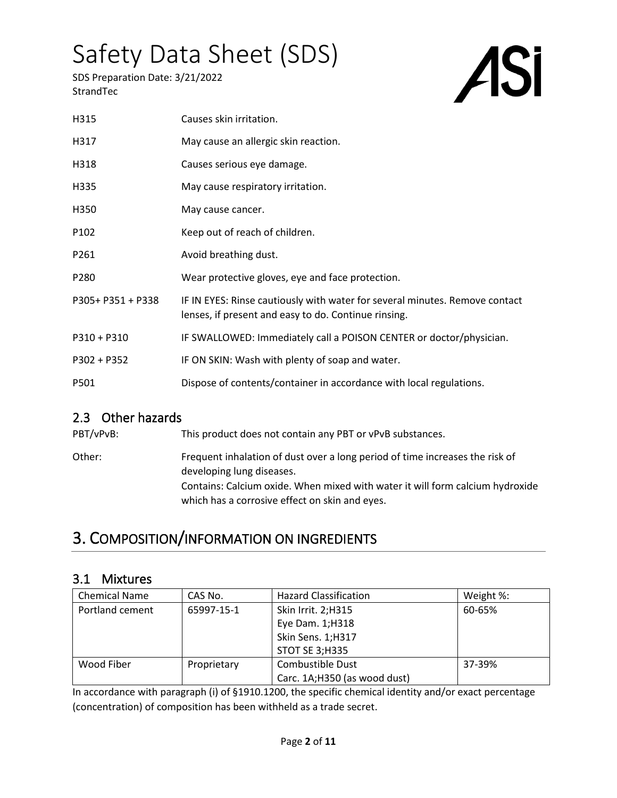SDS Preparation Date: 3/21/2022 **StrandTec** 

# ASI

| H315              | Causes skin irritation.                                                                                                             |
|-------------------|-------------------------------------------------------------------------------------------------------------------------------------|
| H317              | May cause an allergic skin reaction.                                                                                                |
| H318              | Causes serious eye damage.                                                                                                          |
| H335              | May cause respiratory irritation.                                                                                                   |
| H350              | May cause cancer.                                                                                                                   |
| P102              | Keep out of reach of children.                                                                                                      |
| P261              | Avoid breathing dust.                                                                                                               |
| P280              | Wear protective gloves, eye and face protection.                                                                                    |
| P305+ P351 + P338 | IF IN EYES: Rinse cautiously with water for several minutes. Remove contact<br>lenses, if present and easy to do. Continue rinsing. |
| $P310 + P310$     | IF SWALLOWED: Immediately call a POISON CENTER or doctor/physician.                                                                 |
| P302 + P352       | IF ON SKIN: Wash with plenty of soap and water.                                                                                     |
| P501              | Dispose of contents/container in accordance with local regulations.                                                                 |

#### 2.3 Other hazards

PBT/vPvB: This product does not contain any PBT or vPvB substances. Other: Frequent inhalation of dust over a long period of time increases the risk of developing lung diseases. Contains: Calcium oxide. When mixed with water it will form calcium hydroxide which has a corrosive effect on skin and eyes.

# 3. COMPOSITION/INFORMATION ON INGREDIENTS

#### 3.1 Mixtures

| <b>Chemical Name</b> | CAS No.     | <b>Hazard Classification</b> | Weight %: |
|----------------------|-------------|------------------------------|-----------|
| Portland cement      | 65997-15-1  | Skin Irrit. 2;H315           | 60-65%    |
|                      |             | Eye Dam. 1;H318              |           |
|                      |             | Skin Sens. 1;H317            |           |
|                      |             | <b>STOT SE 3;H335</b>        |           |
| Wood Fiber           | Proprietary | Combustible Dust             | 37-39%    |
|                      |             | Carc. 1A;H350 (as wood dust) |           |

In accordance with paragraph (i) of §1910.1200, the specific chemical identity and/or exact percentage (concentration) of composition has been withheld as a trade secret.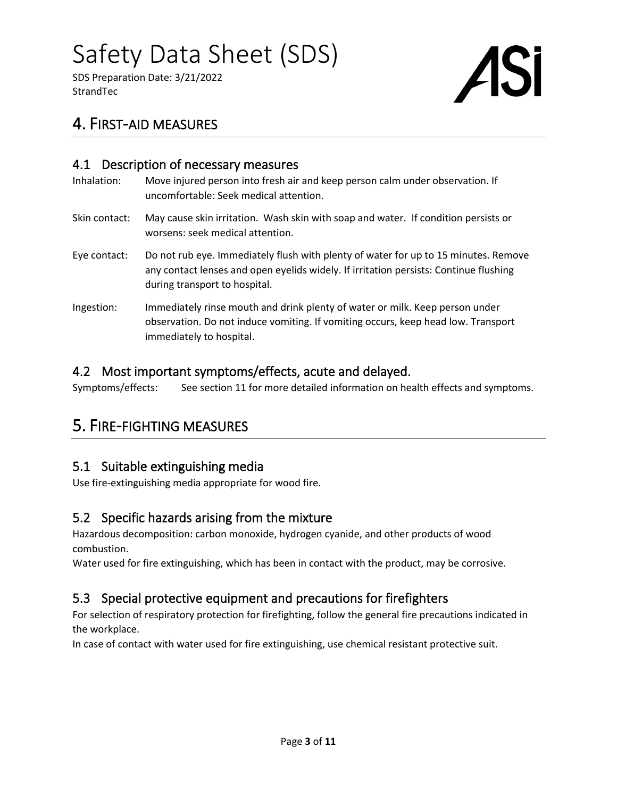SDS Preparation Date: 3/21/2022 **StrandTec** 



## 4. FIRST-AID MEASURES

#### 4.1 Description of necessary measures

| Inhalation:   | Move injured person into fresh air and keep person calm under observation. If<br>uncomfortable: Seek medical attention.                                                                                       |
|---------------|---------------------------------------------------------------------------------------------------------------------------------------------------------------------------------------------------------------|
| Skin contact: | May cause skin irritation. Wash skin with soap and water. If condition persists or<br>worsens: seek medical attention.                                                                                        |
| Eye contact:  | Do not rub eye. Immediately flush with plenty of water for up to 15 minutes. Remove<br>any contact lenses and open eyelids widely. If irritation persists: Continue flushing<br>during transport to hospital. |
| Ingestion:    | Immediately rinse mouth and drink plenty of water or milk. Keep person under<br>observation. Do not induce vomiting. If vomiting occurs, keep head low. Transport<br>immediately to hospital.                 |

#### 4.2 Most important symptoms/effects, acute and delayed.

Symptoms/effects: See section 11 for more detailed information on health effects and symptoms.

## 5. FIRE-FIGHTING MEASURES

#### 5.1 Suitable extinguishing media

Use fire-extinguishing media appropriate for wood fire.

#### 5.2 Specific hazards arising from the mixture

Hazardous decomposition: carbon monoxide, hydrogen cyanide, and other products of wood combustion.

Water used for fire extinguishing, which has been in contact with the product, may be corrosive.

#### 5.3 Special protective equipment and precautions for firefighters

For selection of respiratory protection for firefighting, follow the general fire precautions indicated in the workplace.

In case of contact with water used for fire extinguishing, use chemical resistant protective suit.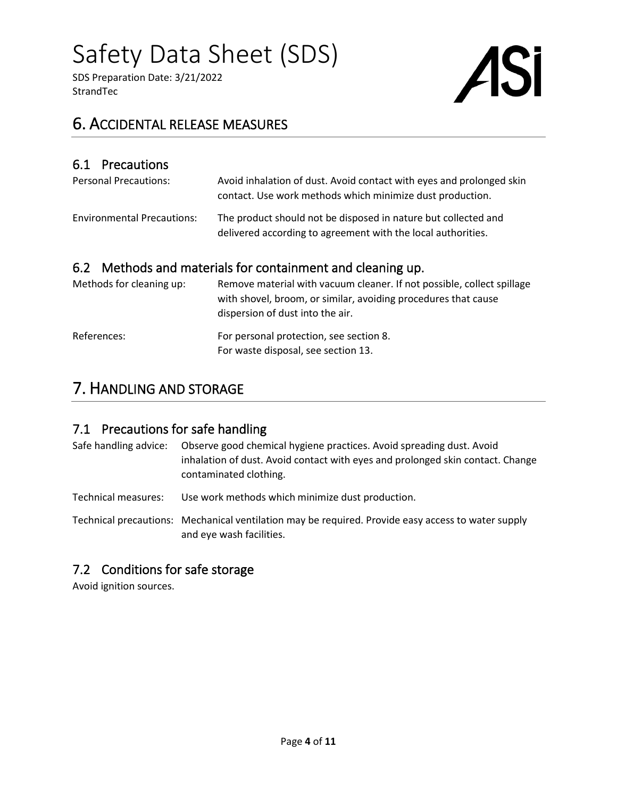SDS Preparation Date: 3/21/2022 **StrandTec** 



## 6. ACCIDENTAL RELEASE MEASURES

#### 6.1 Precautions

| <b>Personal Precautions:</b>      | Avoid inhalation of dust. Avoid contact with eyes and prolonged skin<br>contact. Use work methods which minimize dust production. |  |
|-----------------------------------|-----------------------------------------------------------------------------------------------------------------------------------|--|
| <b>Environmental Precautions:</b> | The product should not be disposed in nature but collected and<br>delivered according to agreement with the local authorities.    |  |
|                                   | 6.2 Mathods and materials for containment and closning up                                                                         |  |

#### 6.2 Methods and materials for containment and cleaning up. Methods for cleaning up: Remove material with vacuum cleaner. If not possible, co

| Methods for cleaning up: | Remove material with vacuum cleaner. If not possible, collect spillage<br>with shovel, broom, or similar, avoiding procedures that cause<br>dispersion of dust into the air. |
|--------------------------|------------------------------------------------------------------------------------------------------------------------------------------------------------------------------|
| References:              | For personal protection, see section 8.<br>For waste disposal, see section 13.                                                                                               |

### 7. HANDLING AND STORAGE

#### 7.1 Precautions for safe handling

Safe handling advice: Observe good chemical hygiene practices. Avoid spreading dust. Avoid inhalation of dust. Avoid contact with eyes and prolonged skin contact. Change contaminated clothing.

Technical measures: Use work methods which minimize dust production.

Technical precautions: Mechanical ventilation may be required. Provide easy access to water supply and eye wash facilities.

#### 7.2 Conditions for safe storage

Avoid ignition sources.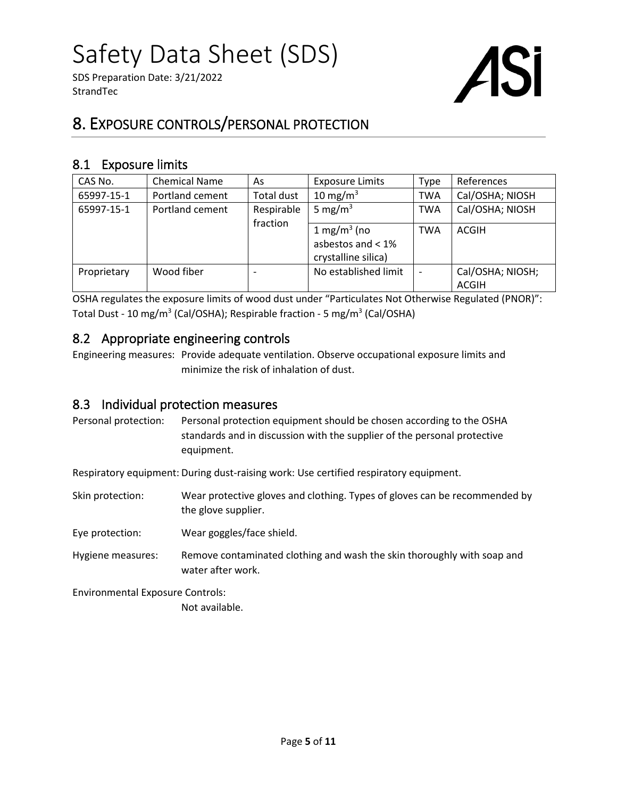SDS Preparation Date: 3/21/2022 **StrandTec** 



## 8. EXPOSURE CONTROLS/PERSONAL PROTECTION

#### 8.1 Exposure limits

| CAS No.     | <b>Chemical Name</b> | As                     | <b>Exposure Limits</b>                                                | <b>Type</b> | References                       |
|-------------|----------------------|------------------------|-----------------------------------------------------------------------|-------------|----------------------------------|
| 65997-15-1  | Portland cement      | <b>Total dust</b>      | 10 mg/m $3$                                                           | <b>TWA</b>  | Cal/OSHA; NIOSH                  |
| 65997-15-1  | Portland cement      | Respirable<br>fraction | 5 mg/m <sup>3</sup>                                                   | <b>TWA</b>  | Cal/OSHA; NIOSH                  |
|             |                      |                        | $1 \text{ mg/m}^3$ (no<br>asbestos and $< 1\%$<br>crystalline silica) | <b>TWA</b>  | ACGIH                            |
| Proprietary | Wood fiber           | $\blacksquare$         | No established limit                                                  |             | Cal/OSHA; NIOSH;<br><b>ACGIH</b> |

OSHA regulates the exposure limits of wood dust under "Particulates Not Otherwise Regulated (PNOR)": Total Dust - 10 mg/m<sup>3</sup> (Cal/OSHA); Respirable fraction - 5 mg/m<sup>3</sup> (Cal/OSHA)

#### 8.2 Appropriate engineering controls

Engineering measures: Provide adequate ventilation. Observe occupational exposure limits and minimize the risk of inhalation of dust.

#### 8.3 Individual protection measures

Personal protection: Personal protection equipment should be chosen according to the OSHA standards and in discussion with the supplier of the personal protective equipment.

Respiratory equipment: During dust-raising work: Use certified respiratory equipment.

- Skin protection: Wear protective gloves and clothing. Types of gloves can be recommended by the glove supplier.
- Eye protection: Wear goggles/face shield.
- Hygiene measures: Remove contaminated clothing and wash the skin thoroughly with soap and water after work.

Environmental Exposure Controls:

Not available.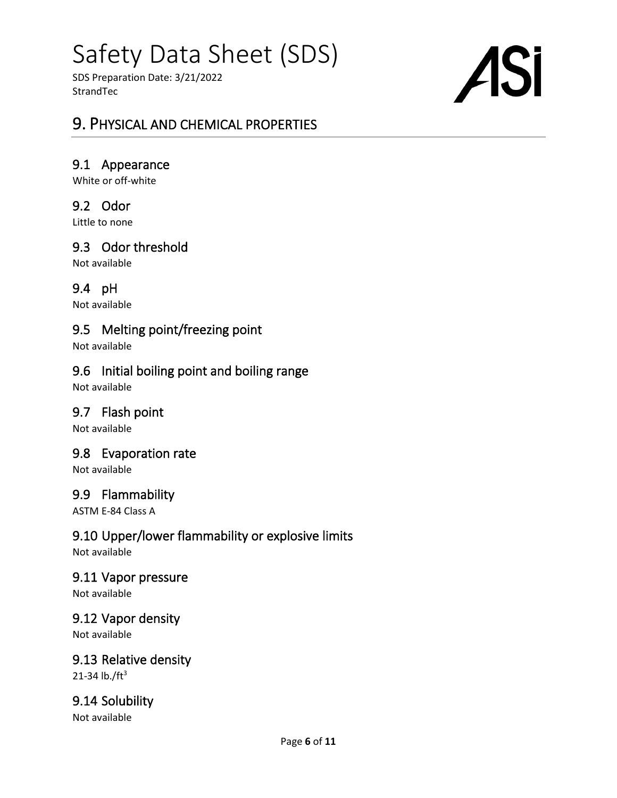SDS Preparation Date: 3/21/2022 **StrandTec** 

# ASi

### 9. PHYSICAL AND CHEMICAL PROPERTIES

#### 9.1 Appearance

White or off-white

#### 9.2 Odor

Little to none

#### 9.3 Odor threshold

Not available

#### 9.4 pH

Not available

#### 9.5 Melting point/freezing point

Not available

#### 9.6 Initial boiling point and boiling range

Not available

#### 9.7 Flash point

Not available

#### 9.8 Evaporation rate

Not available

#### 9.9 Flammability

ASTM E-84 Class A

#### 9.10 Upper/lower flammability or explosive limits

Not available

#### 9.11 Vapor pressure

Not available

#### 9.12 Vapor density

Not available

## 9.13 Relative density

21-34  $lb./ft^3$ 

#### 9.14 Solubility

Not available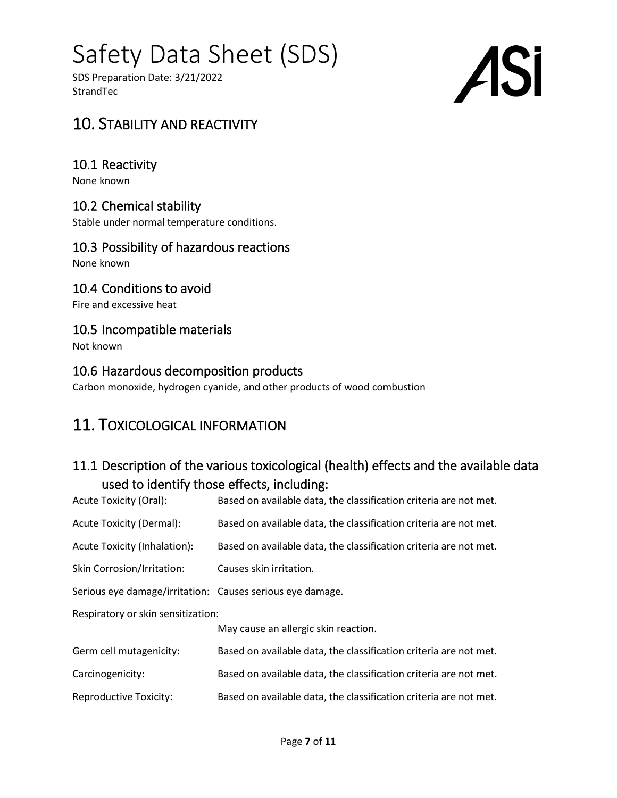SDS Preparation Date: 3/21/2022 **StrandTec** 

# **ASi**

### 10. STABILITY AND REACTIVITY

#### 10.1 Reactivity

None known

#### 10.2 Chemical stability

Stable under normal temperature conditions.

#### 10.3 Possibility of hazardous reactions

None known

#### 10.4 Conditions to avoid

Fire and excessive heat

#### 10.5 Incompatible materials

Not known

#### 10.6 Hazardous decomposition products

Carbon monoxide, hydrogen cyanide, and other products of wood combustion

## 11. TOXICOLOGICAL INFORMATION

#### 11.1 Description of the various toxicological (health) effects and the available data used to identify those effects, including:

| Acute Toxicity (Oral):                                    | Based on available data, the classification criteria are not met. |  |  |  |
|-----------------------------------------------------------|-------------------------------------------------------------------|--|--|--|
| Acute Toxicity (Dermal):                                  | Based on available data, the classification criteria are not met. |  |  |  |
| Acute Toxicity (Inhalation):                              | Based on available data, the classification criteria are not met. |  |  |  |
| <b>Skin Corrosion/Irritation:</b>                         | Causes skin irritation.                                           |  |  |  |
| Serious eye damage/irritation: Causes serious eye damage. |                                                                   |  |  |  |
| Respiratory or skin sensitization:                        |                                                                   |  |  |  |
|                                                           | May cause an allergic skin reaction.                              |  |  |  |
| Germ cell mutagenicity:                                   | Based on available data, the classification criteria are not met. |  |  |  |
| Carcinogenicity:                                          | Based on available data, the classification criteria are not met. |  |  |  |
| <b>Reproductive Toxicity:</b>                             | Based on available data, the classification criteria are not met. |  |  |  |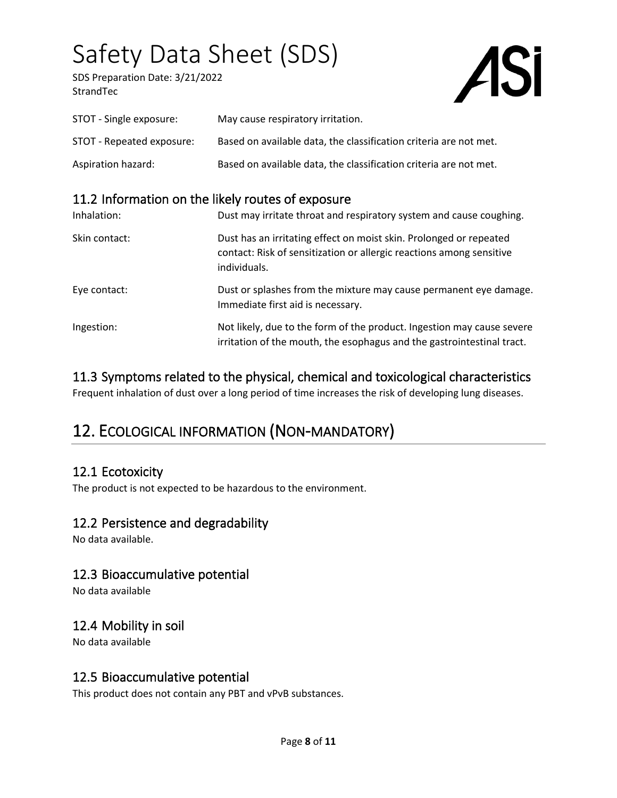SDS Preparation Date: 3/21/2022 **StrandTec** 



| STOT - Single exposure:   | May cause respiratory irritation.                                 |
|---------------------------|-------------------------------------------------------------------|
| STOT - Repeated exposure: | Based on available data, the classification criteria are not met. |
| Aspiration hazard:        | Based on available data, the classification criteria are not met. |

#### 11.2 Information on the likely routes of exposure

| Inhalation:   | Dust may irritate throat and respiratory system and cause coughing.                                                                                        |
|---------------|------------------------------------------------------------------------------------------------------------------------------------------------------------|
| Skin contact: | Dust has an irritating effect on moist skin. Prolonged or repeated<br>contact: Risk of sensitization or allergic reactions among sensitive<br>individuals. |
| Eye contact:  | Dust or splashes from the mixture may cause permanent eye damage.<br>Immediate first aid is necessary.                                                     |
| Ingestion:    | Not likely, due to the form of the product. Ingestion may cause severe<br>irritation of the mouth, the esophagus and the gastrointestinal tract.           |

#### 11.3 Symptoms related to the physical, chemical and toxicological characteristics

Frequent inhalation of dust over a long period of time increases the risk of developing lung diseases.

## 12. ECOLOGICAL INFORMATION (NON-MANDATORY)

#### 12.1 Ecotoxicity

The product is not expected to be hazardous to the environment.

#### 12.2 Persistence and degradability

No data available.

#### 12.3 Bioaccumulative potential

No data available

#### 12.4 Mobility in soil

No data available

#### 12.5 Bioaccumulative potential

This product does not contain any PBT and vPvB substances.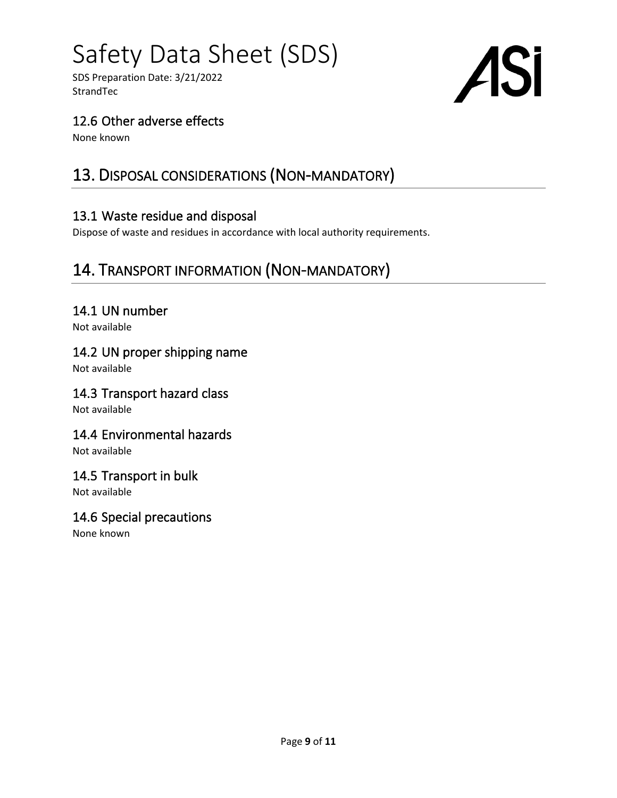SDS Preparation Date: 3/21/2022 **StrandTec** 



#### 12.6 Other adverse effects

None known

# 13. DISPOSAL CONSIDERATIONS (NON-MANDATORY)

#### 13.1 Waste residue and disposal

Dispose of waste and residues in accordance with local authority requirements.

# 14. TRANSPORT INFORMATION (NON-MANDATORY)

#### 14.1 UN number

Not available

#### 14.2 UN proper shipping name

Not available

#### 14.3 Transport hazard class

Not available

#### 14.4 Environmental hazards

Not available

#### 14.5 Transport in bulk

Not available

#### 14.6 Special precautions

None known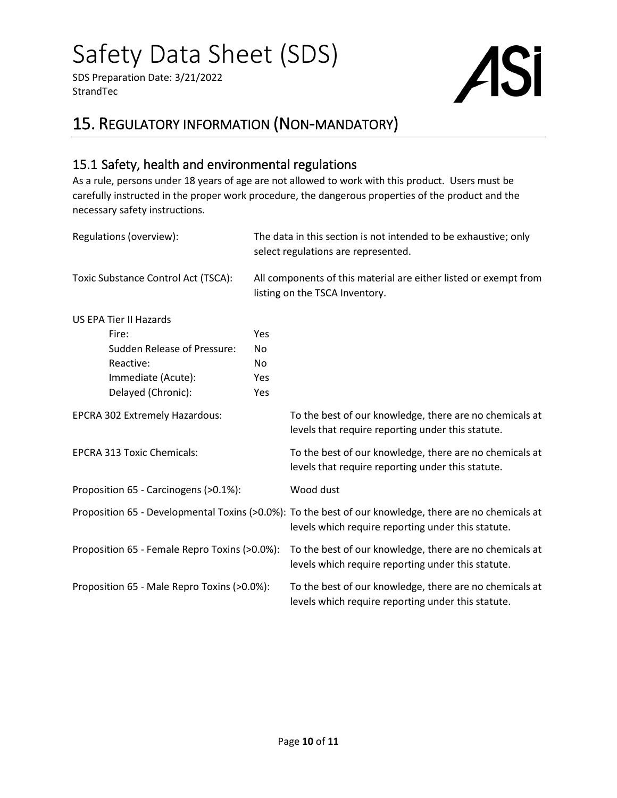SDS Preparation Date: 3/21/2022 **StrandTec** 



## 15. REGULATORY INFORMATION (NON-MANDATORY)

#### 15.1 Safety, health and environmental regulations

As a rule, persons under 18 years of age are not allowed to work with this product. Users must be carefully instructed in the proper work procedure, the dangerous properties of the product and the necessary safety instructions.

| Regulations (overview):                                                            |                        | The data in this section is not intended to be exhaustive; only<br>select regulations are represented.                                                       |  |
|------------------------------------------------------------------------------------|------------------------|--------------------------------------------------------------------------------------------------------------------------------------------------------------|--|
| Toxic Substance Control Act (TSCA):                                                |                        | All components of this material are either listed or exempt from<br>listing on the TSCA Inventory.                                                           |  |
| <b>US EPA Tier II Hazards</b><br>Fire:<br>Sudden Release of Pressure:<br>Reactive: | <b>Yes</b><br>No<br>No |                                                                                                                                                              |  |
| Immediate (Acute):<br>Delayed (Chronic):                                           | Yes<br>Yes             |                                                                                                                                                              |  |
| EPCRA 302 Extremely Hazardous:                                                     |                        | To the best of our knowledge, there are no chemicals at<br>levels that require reporting under this statute.                                                 |  |
| <b>EPCRA 313 Toxic Chemicals:</b>                                                  |                        | To the best of our knowledge, there are no chemicals at<br>levels that require reporting under this statute.                                                 |  |
| Proposition 65 - Carcinogens (>0.1%):                                              |                        | Wood dust                                                                                                                                                    |  |
|                                                                                    |                        | Proposition 65 - Developmental Toxins (>0.0%): To the best of our knowledge, there are no chemicals at<br>levels which require reporting under this statute. |  |
| Proposition 65 - Female Repro Toxins (>0.0%):                                      |                        | To the best of our knowledge, there are no chemicals at<br>levels which require reporting under this statute.                                                |  |
| Proposition 65 - Male Repro Toxins (>0.0%):                                        |                        | To the best of our knowledge, there are no chemicals at<br>levels which require reporting under this statute.                                                |  |